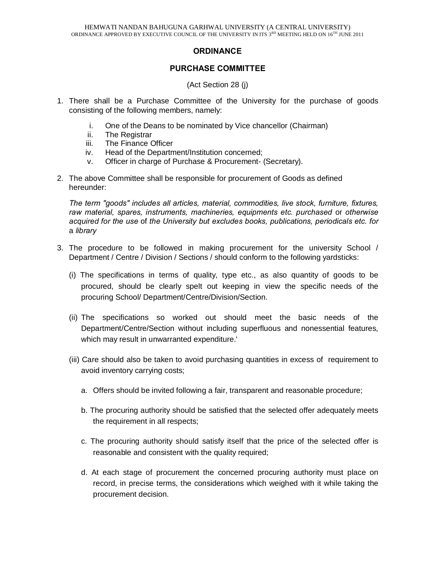# **ORDINANCE**

### **PURCHASE COMMITTEE**

(Act Section 28 (j)

- 1. There shall be a Purchase Committee of the University for the purchase of goods consisting of the following members, namely:
	- i. One of the Deans to be nominated by Vice chancellor (Chairman)
	- ii. The Registrar
	- iii. The Finance Officer
	- iv. Head of the Department/Institution concerned;
	- v. Officer in charge of Purchase & Procurement- (Secretary).
- 2. The above Committee shall be responsible for procurement of Goods as defined hereunder:

*The term "goods" includes all articles, material, commodities, live stock, furniture, fixtures, raw material, spares, instruments, machineries, equipments etc. purchased* or *otherwise acquired for the use* of *the University but excludes books, publications, periodicals etc. for*  a *library*

- 3. The procedure to be followed in making procurement for the university School / Department / Centre / Division / Sections / should conform to the following yardsticks:
	- (i) The specifications in terms of quality, type etc., as also quantity of goods to be procured, should be clearly spelt out keeping in view the specific needs of the procuring School/ Department/Centre/Division/Section.
	- (ii) The specifications so worked out should meet the basic needs of the Department/Centre/Section without including superfluous and nonessential features, which may result in unwarranted expenditure.'
	- (iii) Care should also be taken to avoid purchasing quantities in excess of requirement to avoid inventory carrying costs;
		- a. Offers should be invited following a fair, transparent and reasonable procedure;
		- b. The procuring authority should be satisfied that the selected offer adequately meets the requirement in all respects;
		- c. The procuring authority should satisfy itself that the price of the selected offer is reasonable and consistent with the quality required;
		- d. At each stage of procurement the concerned procuring authority must place on record, in precise terms, the considerations which weighed with it while taking the procurement decision.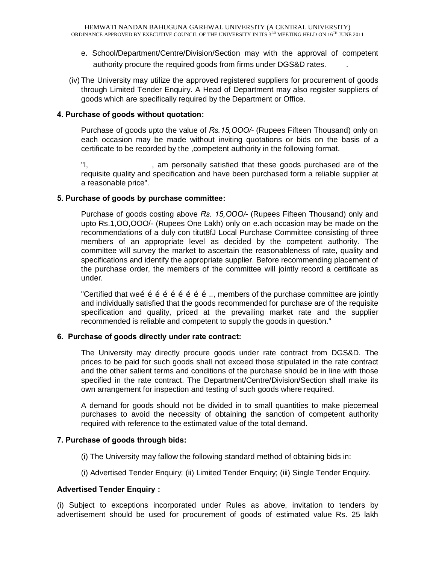- e. School*I*Department/Centre/Division/Section may with the approval of competent authority procure the required goods from firms under DGS&D rates. .
- (iv) The University may utilize the approved registered suppliers for procurement of goods through Limited Tender Enquiry. A Head of Department may also register suppliers of goods which are specifically required by the Department or Office.

#### **4. Purchase of goods without quotation:**

Purchase of goods upto the value of *Rs.15,OOO/-* (Rupees Fifteen Thousand) only on each occasion may be made without inviting quotations or bids on the basis of a certificate to be recorded by the ,competent authority in the following format.

"I, The same personally satisfied that these goods purchased are of the requisite quality and specification and have been purchased form a reliable supplier at a reasonable price".

### **5. Purchase of goods by purchase committee:**

Purchase of goods costing above *Rs. 15,OOO/-* (Rupees Fifteen Thousand) only and upto Rs.1,OO,OOO/- (Rupees One Lakh) only on e.ach occasion may be made on the recommendations of a duly con titut8fJ Local Purchase Committee consisting of three members of an appropriate level as decided by the competent authority. The committee will survey the market to ascertain the reasonableness of rate, quality and specifications and identify the appropriate supplier. Before recommending placement of the purchase order, the members of the committee will jointly record a certificate as under.

"Certified that we $\tilde{p}$   $\tilde{p}$   $\tilde{p}$   $\tilde{p}$   $\tilde{p}$   $\tilde{p}$   $\tilde{p}$   $\tilde{p}$   $\tilde{p}$   $\tilde{p}$   $\tilde{p}$   $\tilde{p}$   $\tilde{p}$   $\tilde{p}$   $\tilde{p}$   $\tilde{p}$   $\tilde{p}$   $\tilde{p}$   $\tilde{p}$   $\tilde{p}$   $\tilde{p}$   $\tilde{p}$   $\tilde{$ and individually satisfied that the goods recommended for purchase are of the requisite specification and quality, priced at the prevailing market rate and the supplier recommended is reliable and competent to supply the goods in question."

#### **6. Purchase of goods directly under rate contract:**

The University may directly procure goods under rate contract from DGS&D. The prices to be paid for such goods shall not exceed those stipulated in the rate contract and the other salient terms and conditions of the purchase should be in line with those specified in the rate contract. The Department/Centre/Division/Section shall make its own arrangement for inspection and testing of such goods where required.

A demand for goods should not be divided in to small quantities to make piecemeal purchases to avoid the necessity of obtaining the sanction of competent authority required with reference to the estimated value of the total demand.

## **7. Purchase of goods through bids:**

- (i) The University may fallow the following standard method of obtaining bids in:
- (i) Advertised Tender Enquiry; (ii) Limited Tender Enquiry; (iii) Single Tender Enquiry.

## **Advertised Tender Enquiry :**

(i) Subject to exceptions incorporated under Rules as above, invitation to tenders by advertisement should be used for procurement of goods of estimated value Rs. 25 lakh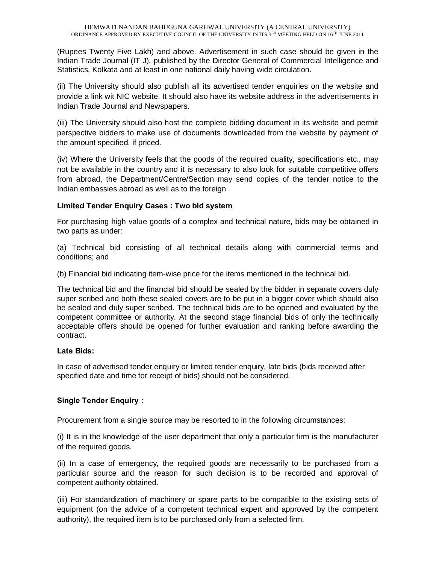(Rupees Twenty Five Lakh) and above. Advertisement in such case should be given in the Indian Trade Journal (IT J), published by the Director General of Commercial Intelligence and Statistics, Kolkata and at least in one national daily having wide circulation.

(ii) The University should also publish all its advertised tender enquiries on the website and provide a link wit NIC website. It should also have its website address in the advertisements in Indian Trade Journal and Newspapers.

(iii) The University should also host the complete bidding document in its website and permit perspective bidders to make use of documents downloaded from the website by payment of the amount specified, if priced.

(iv) Where the University feels that the goods of the required quality, specifications etc., may not be available in the country and it is necessary to also look for suitable competitive offers from abroad, the Department/Centre/Section may send copies of the tender notice to the Indian embassies abroad as well as to the foreign

## **Limited Tender Enquiry Cases : Two bid system**

For purchasing high value goods of a complex and technical nature, bids may be obtained in two parts as under:

(a) Technical bid consisting of all technical details along with commercial terms and conditions; and

(b) Financial bid indicating item-wise price for the items mentioned in the technical bid.

The technical bid and the financial bid should be sealed by the bidder in separate covers duly super scribed and both these sealed covers are to be put in a bigger cover which should also be sealed and duly super scribed. The technical bids are to be opened and evaluated by the competent committee or authority. At the second stage financial bids of only the technically acceptable offers should be opened for further evaluation and ranking before awarding the contract.

#### **Late Bids:**

In case of advertised tender enquiry or limited tender enquiry, late bids (bids received after specified date and time for receipt of bids) should not be considered.

## **Single Tender Enquiry :**

Procurement from a single source may be resorted to in the following circumstances:

(i) It is in the knowledge of the user department that only a particular firm is the manufacturer of the required goods.

(ii) In a case of emergency, the required goods are necessarily to be purchased from a particular source and the reason for such decision is to be recorded and approval of competent authority obtained.

(iii) For standardization of machinery or spare parts to be compatible to the existing sets of equipment (on the advice of a competent technical expert and approved by the competent authority), the required item is to be purchased only from a selected firm.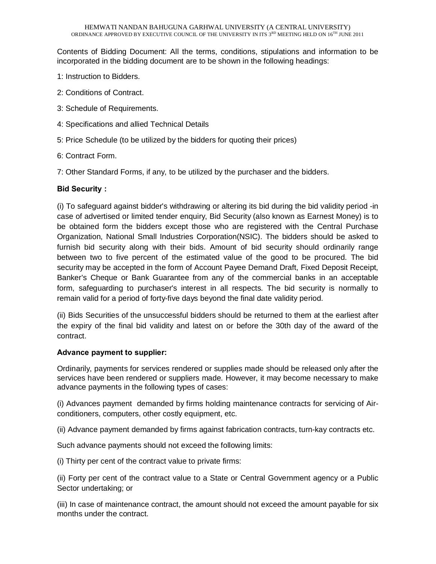Contents of Bidding Document: All the terms, conditions, stipulations and information to be incorporated in the bidding document are to be shown in the following headings:

- 1: Instruction to Bidders.
- 2: Conditions of Contract.
- 3: Schedule of Requirements.
- 4: Specifications and allied Technical Details
- 5: Price Schedule (to be utilized by the bidders for quoting their prices)
- 6: Contract Form.
- 7: Other Standard Forms, if any, to be utilized by the purchaser and the bidders.

### **Bid Security :**

(i) To safeguard against bidder's withdrawing or altering its bid during the bid validity period -in case of advertised or limited tender enquiry, Bid Security (also known as Earnest Money) is to be obtained form the bidders except those who are registered with the Central Purchase Organization, National Small Industries Corporation(NSIC). The bidders should be asked to furnish bid security along with their bids. Amount of bid security should ordinarily range between two to five percent of the estimated value of the good to be procured. The bid security may be accepted in the form of Account Payee Demand Draft, Fixed Deposit Receipt, Banker's Cheque or Bank Guarantee from any of the commercial banks in an acceptable form, safeguarding to purchaser's interest in all respects. The bid security is normally to remain valid for a period of forty-five days beyond the final date validity period.

(ii) Bids Securities of the unsuccessful bidders should be returned to them at the earliest after the expiry of the final bid validity and latest on or before the 30th day of the award of the contract.

#### **Advance payment to supplier:**

Ordinarily, payments for services rendered or supplies made should be released only after the services have been rendered or suppliers made. However, it may become necessary to make advance payments in the following types of cases:

(i) Advances payment demanded by firms holding maintenance contracts for servicing of Airconditioners, computers, other costly equipment, etc.

(ii) Advance payment demanded by firms against fabrication contracts, turn-kay contracts etc.

Such advance payments should not exceed the following limits:

(i) Thirty per cent of the contract value to private firms:

(ii) Forty per cent of the contract value to a State or Central Government agency or a Public Sector undertaking; or

(iii) In case of maintenance contract, the amount should not exceed the amount payable for six months under the contract.